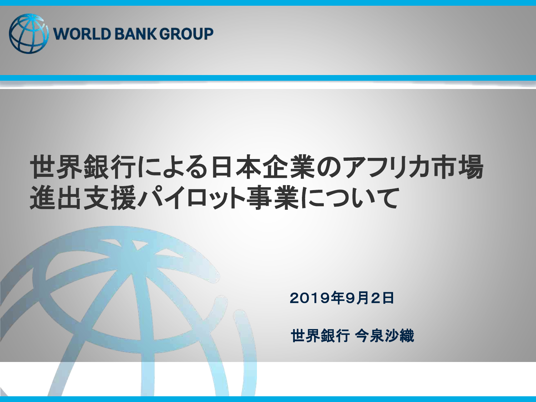

# 世界銀行による日本企業のアフリカ市場 進出支援パイロット事業について

2019年9月2日

世界銀行 今泉沙織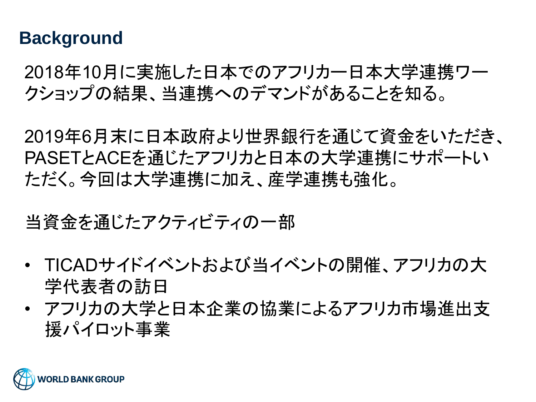#### **Background**

2018年10月に実施した日本でのアフリカー日本大学連携ワー クショップの結果、当連携へのデマンドがあることを知る。

2019年6月末に日本政府より世界銀行を通じて資金をいただき、 PASETとACEを通じたアフリカと日本の大学連携にサポートい ただく。今回は大学連携に加え、産学連携も強化。

当資金を通じたアクティビティの一部

- TICADサイドイベントおよび当イベントの開催、アフリカの大 学代表者の訪日
- アフリカの大学と日本企業の協業によるアフリカ市場進出支 援パイロット事業

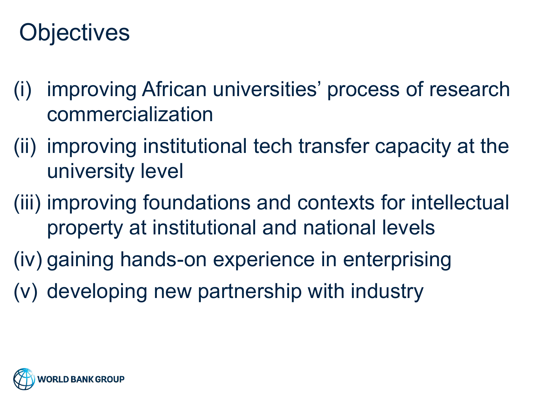# **Objectives**

- (i) improving African universities' process of research commercialization
- (ii) improving institutional tech transfer capacity at the university level
- (iii) improving foundations and contexts for intellectual property at institutional and national levels
- (iv) gaining hands-on experience in enterprising
- (v) developing new partnership with industry

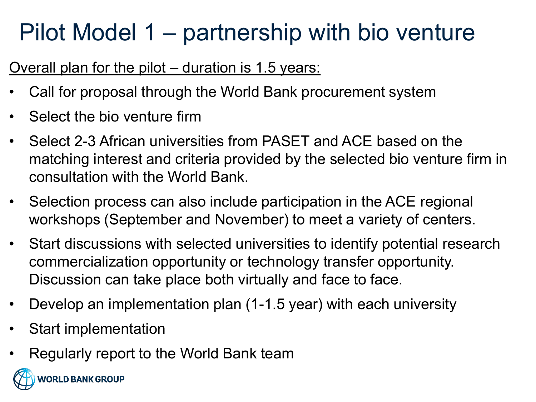Overall plan for the pilot – duration is 1.5 years:

- Call for proposal through the World Bank procurement system
- Select the bio venture firm
- Select 2-3 African universities from PASET and ACE based on the matching interest and criteria provided by the selected bio venture firm in consultation with the World Bank.
- Selection process can also include participation in the ACE regional workshops (September and November) to meet a variety of centers.
- Start discussions with selected universities to identify potential research commercialization opportunity or technology transfer opportunity. Discussion can take place both virtually and face to face.
- Develop an implementation plan (1-1.5 year) with each university
- Start implementation
- Regularly report to the World Bank team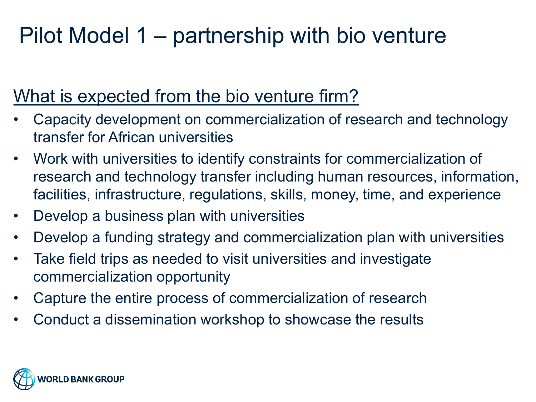### What is expected from the bio venture firm?

- Capacity development on commercialization of research and technology transfer for African universities
- Work with universities to identify constraints for commercialization of research and technology transfer including human resources, information, facilities, infrastructure, regulations, skills, money, time, and experience
- Develop a business plan with universities
- Develop a funding strategy and commercialization plan with universities
- Take field trips as needed to visit universities and investigate commercialization opportunity
- Capture the entire process of commercialization of research
- Conduct a dissemination workshop to showcase the results

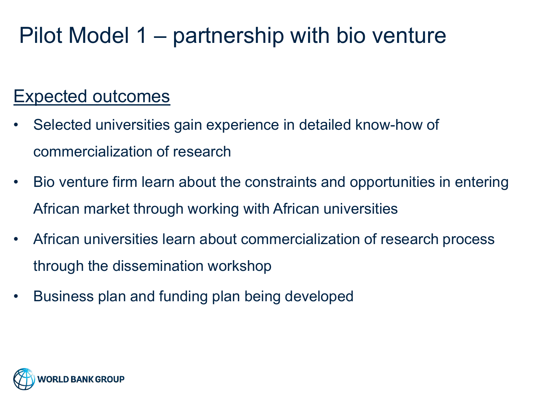### Expected outcomes

- Selected universities gain experience in detailed know-how of commercialization of research
- Bio venture firm learn about the constraints and opportunities in entering African market through working with African universities
- African universities learn about commercialization of research process through the dissemination workshop
- Business plan and funding plan being developed

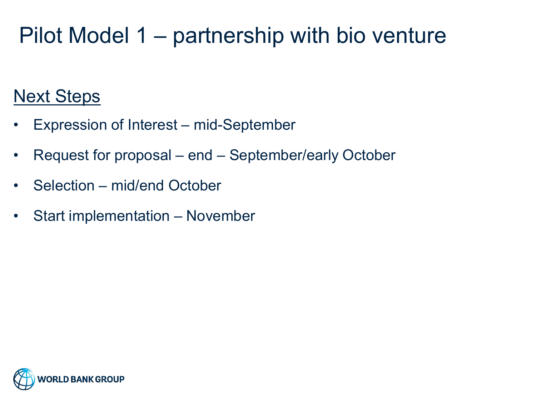### Next Steps

- Expression of Interest mid-September
- Request for proposal end September/early October
- Selection mid/end October
- Start implementation November

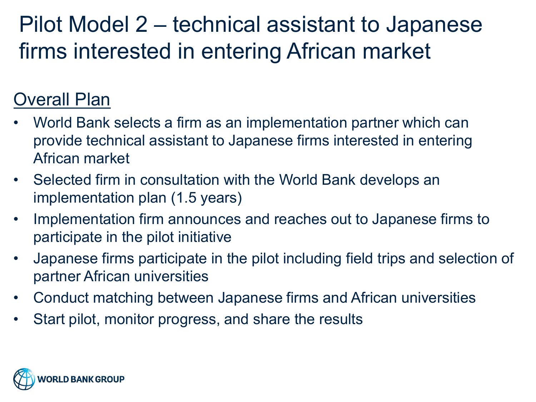### Pilot Model 2 – technical assistant to Japanese firms interested in entering African market

### Overall Plan

- World Bank selects a firm as an implementation partner which can provide technical assistant to Japanese firms interested in entering African market
- Selected firm in consultation with the World Bank develops an implementation plan (1.5 years)
- Implementation firm announces and reaches out to Japanese firms to participate in the pilot initiative
- Japanese firms participate in the pilot including field trips and selection of partner African universities
- Conduct matching between Japanese firms and African universities
- Start pilot, monitor progress, and share the results

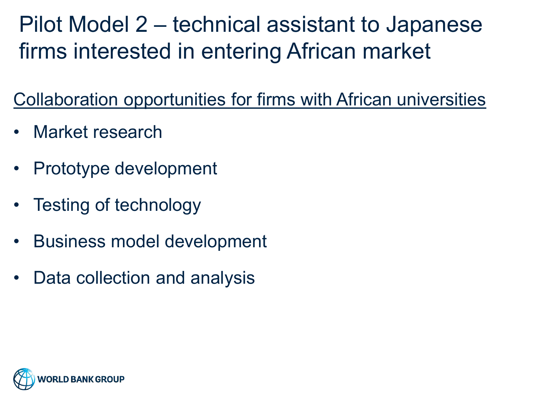Pilot Model 2 – technical assistant to Japanese firms interested in entering African market

Collaboration opportunities for firms with African universities

- Market research
- Prototype development
- Testing of technology
- Business model development
- Data collection and analysis

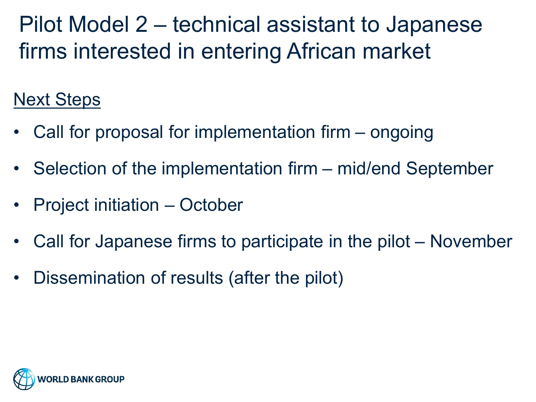Pilot Model 2 – technical assistant to Japanese firms interested in entering African market

### Next Steps

- Call for proposal for implementation firm ongoing
- Selection of the implementation firm mid/end September
- Project initiation October
- Call for Japanese firms to participate in the pilot November
- Dissemination of results (after the pilot)